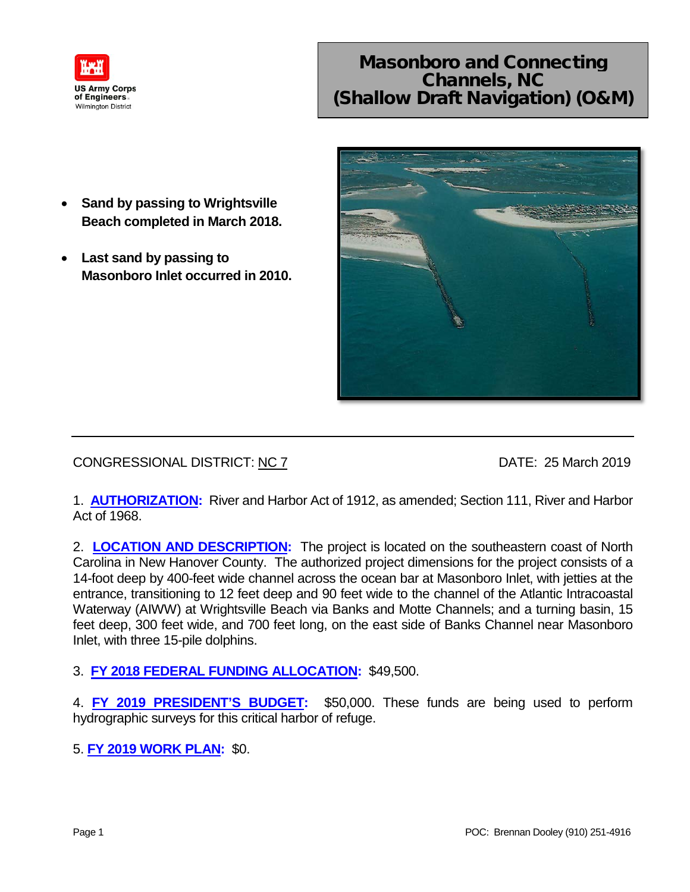

## Masonboro and Connecting Channels, NC (Shallow Draft Navigation) (O&M)

- **Sand by passing to Wrightsville Beach completed in March 2018.**
- **Last sand by passing to Masonboro Inlet occurred in 2010.**



CONGRESSIONAL DISTRICT: NC 7 DATE: 25 March 2019

1. **AUTHORIZATION:** River and Harbor Act of 1912, as amended; Section 111, River and Harbor Act of 1968.

2. **LOCATION AND DESCRIPTION:** The project is located on the southeastern coast of North Carolina in New Hanover County. The authorized project dimensions for the project consists of a 14-foot deep by 400-feet wide channel across the ocean bar at Masonboro Inlet, with jetties at the entrance, transitioning to 12 feet deep and 90 feet wide to the channel of the Atlantic Intracoastal Waterway (AIWW) at Wrightsville Beach via Banks and Motte Channels; and a turning basin, 15 feet deep, 300 feet wide, and 700 feet long, on the east side of Banks Channel near Masonboro Inlet, with three 15-pile dolphins.

- 3. **FY 2018 FEDERAL FUNDING ALLOCATION:** \$49,500.
- 4. **FY 2019 PRESIDENT'S BUDGET:** \$50,000. These funds are being used to perform hydrographic surveys for this critical harbor of refuge.
- 5. **FY 2019 WORK PLAN:** \$0.